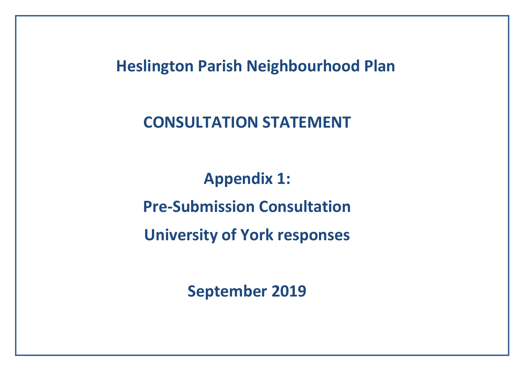**Heslington Parish Neighbourhood Plan** 

**CONSULTATION STATEMENT**

**Appendix 1: Pre-Submission Consultation University of York responses**

**September 2019**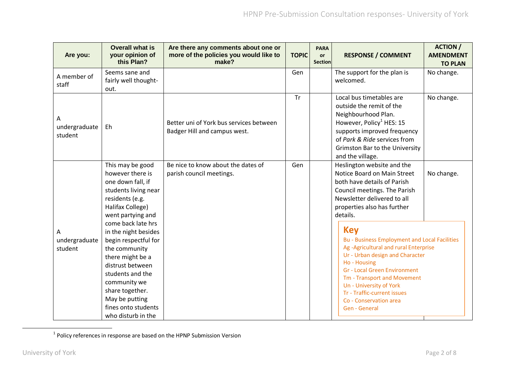| Are you:                      | <b>Overall what is</b><br>your opinion of<br>this Plan?                                                                                                                                                                                           | Are there any comments about one or<br>more of the policies you would like to<br>make? | <b>TOPIC</b> | <b>PARA</b><br><b>or</b><br><b>Section</b> | <b>RESPONSE / COMMENT</b>                                                                                                                                                                                                                                                                                                                | <b>ACTION /</b><br><b>AMENDMENT</b><br><b>TO PLAN</b> |
|-------------------------------|---------------------------------------------------------------------------------------------------------------------------------------------------------------------------------------------------------------------------------------------------|----------------------------------------------------------------------------------------|--------------|--------------------------------------------|------------------------------------------------------------------------------------------------------------------------------------------------------------------------------------------------------------------------------------------------------------------------------------------------------------------------------------------|-------------------------------------------------------|
| A member of<br>staff          | Seems sane and<br>fairly well thought-<br>out.                                                                                                                                                                                                    |                                                                                        | Gen          |                                            | The support for the plan is<br>welcomed.                                                                                                                                                                                                                                                                                                 | No change.                                            |
| Α<br>undergraduate<br>student | Eh                                                                                                                                                                                                                                                | Better uni of York bus services between<br>Badger Hill and campus west.                | <b>Tr</b>    |                                            | Local bus timetables are<br>outside the remit of the<br>Neighbourhood Plan.<br>However, Policy <sup>1</sup> HES: 15<br>supports improved frequency<br>of Park & Ride services from<br><b>Grimston Bar to the University</b><br>and the village.                                                                                          | No change.                                            |
|                               | This may be good<br>however there is<br>one down fall, if<br>students living near<br>residents (e.g.<br>Halifax College)<br>went partying and                                                                                                     | Be nice to know about the dates of<br>parish council meetings.                         | Gen          |                                            | Heslington website and the<br>Notice Board on Main Street<br>both have details of Parish<br>Council meetings. The Parish<br>Newsletter delivered to all<br>properties also has further<br>details.                                                                                                                                       | No change.                                            |
| А<br>undergraduate<br>student | come back late hrs<br>in the night besides<br>begin respectful for<br>the community<br>there might be a<br>distrust between<br>students and the<br>community we<br>share together.<br>May be putting<br>fines onto students<br>who disturb in the |                                                                                        |              |                                            | <b>Key</b><br><b>Bu - Business Employment and Local Facilities</b><br>Ag-Agricultural and rural Enterprise<br>Ur - Urban design and Character<br>Ho - Housing<br><b>Gr - Local Green Environment</b><br>Tm - Transport and Movement<br>Un - University of York<br>Tr - Traffic-current issues<br>Co - Conservation area<br>Gen - General |                                                       |

 $<sup>1</sup>$  Policy references in response are based on the HPNP Submission Version</sup>

 $\overline{a}$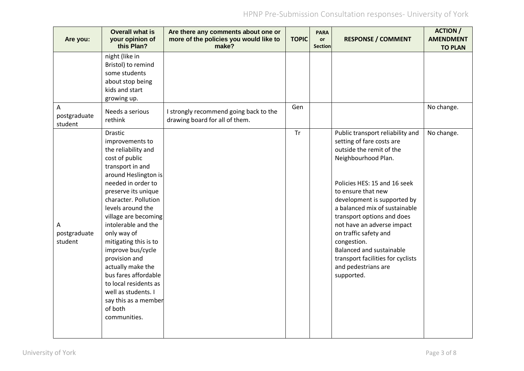| Are you:                     | <b>Overall what is</b><br>your opinion of<br>this Plan?                                                                                                                                                                                                                                                                                                                                                                                                                                | Are there any comments about one or<br>more of the policies you would like to<br>make? | <b>TOPIC</b> | <b>PARA</b><br><b>or</b><br><b>Section</b> | <b>RESPONSE / COMMENT</b>                                                                                                                                                                                                                                                                                                                                                                                                                        | <b>ACTION /</b><br><b>AMENDMENT</b><br><b>TO PLAN</b> |
|------------------------------|----------------------------------------------------------------------------------------------------------------------------------------------------------------------------------------------------------------------------------------------------------------------------------------------------------------------------------------------------------------------------------------------------------------------------------------------------------------------------------------|----------------------------------------------------------------------------------------|--------------|--------------------------------------------|--------------------------------------------------------------------------------------------------------------------------------------------------------------------------------------------------------------------------------------------------------------------------------------------------------------------------------------------------------------------------------------------------------------------------------------------------|-------------------------------------------------------|
|                              | night (like in<br>Bristol) to remind<br>some students<br>about stop being<br>kids and start<br>growing up.                                                                                                                                                                                                                                                                                                                                                                             |                                                                                        |              |                                            |                                                                                                                                                                                                                                                                                                                                                                                                                                                  |                                                       |
| A<br>postgraduate<br>student | Needs a serious<br>rethink                                                                                                                                                                                                                                                                                                                                                                                                                                                             | I strongly recommend going back to the<br>drawing board for all of them.               | Gen          |                                            |                                                                                                                                                                                                                                                                                                                                                                                                                                                  | No change.                                            |
| А<br>postgraduate<br>student | Drastic<br>improvements to<br>the reliability and<br>cost of public<br>transport in and<br>around Heslington is<br>needed in order to<br>preserve its unique<br>character. Pollution<br>levels around the<br>village are becoming<br>intolerable and the<br>only way of<br>mitigating this is to<br>improve bus/cycle<br>provision and<br>actually make the<br>bus fares affordable<br>to local residents as<br>well as students. I<br>say this as a member<br>of both<br>communities. |                                                                                        | <b>Tr</b>    |                                            | Public transport reliability and<br>setting of fare costs are<br>outside the remit of the<br>Neighbourhood Plan.<br>Policies HES: 15 and 16 seek<br>to ensure that new<br>development is supported by<br>a balanced mix of sustainable<br>transport options and does<br>not have an adverse impact<br>on traffic safety and<br>congestion.<br>Balanced and sustainable<br>transport facilities for cyclists<br>and pedestrians are<br>supported. | No change.                                            |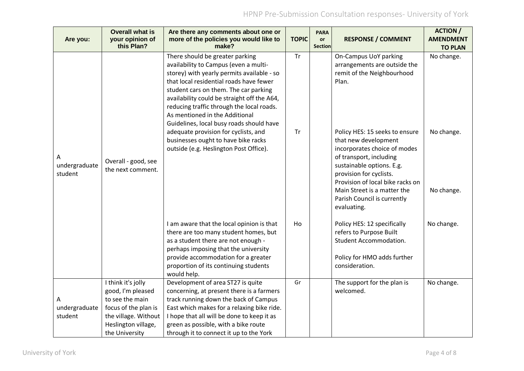| Are you:                      | <b>Overall what is</b><br>your opinion of<br>this Plan?                                                                                             | Are there any comments about one or<br>more of the policies you would like to<br>make?                                                                                                                                                                                                                                                                                               | <b>TOPIC</b> | <b>PARA</b><br>or<br><b>Section</b> | <b>RESPONSE / COMMENT</b>                                                                                                                                                                                                                                                                  | <b>ACTION /</b><br><b>AMENDMENT</b><br><b>TO PLAN</b> |
|-------------------------------|-----------------------------------------------------------------------------------------------------------------------------------------------------|--------------------------------------------------------------------------------------------------------------------------------------------------------------------------------------------------------------------------------------------------------------------------------------------------------------------------------------------------------------------------------------|--------------|-------------------------------------|--------------------------------------------------------------------------------------------------------------------------------------------------------------------------------------------------------------------------------------------------------------------------------------------|-------------------------------------------------------|
| А<br>undergraduate<br>student |                                                                                                                                                     | There should be greater parking<br>availability to Campus (even a multi-<br>storey) with yearly permits available - so<br>that local residential roads have fewer<br>student cars on them. The car parking<br>availability could be straight off the A64,<br>reducing traffic through the local roads.<br>As mentioned in the Additional<br>Guidelines, local busy roads should have | <b>Tr</b>    |                                     | On-Campus UoY parking<br>arrangements are outside the<br>remit of the Neighbourhood<br>Plan.                                                                                                                                                                                               | No change.                                            |
|                               | Overall - good, see<br>the next comment.                                                                                                            | adequate provision for cyclists, and<br>businesses ought to have bike racks<br>outside (e.g. Heslington Post Office).                                                                                                                                                                                                                                                                | <b>Tr</b>    |                                     | Policy HES: 15 seeks to ensure<br>that new development<br>incorporates choice of modes<br>of transport, including<br>sustainable options. E.g.<br>provision for cyclists.<br>Provision of local bike racks on<br>Main Street is a matter the<br>Parish Council is currently<br>evaluating. | No change.<br>No change.                              |
|                               |                                                                                                                                                     | I am aware that the local opinion is that<br>there are too many student homes, but<br>as a student there are not enough -<br>perhaps imposing that the university<br>provide accommodation for a greater<br>proportion of its continuing students<br>would help.                                                                                                                     | Ho           |                                     | Policy HES: 12 specifically<br>refers to Purpose Built<br><b>Student Accommodation.</b><br>Policy for HMO adds further<br>consideration.                                                                                                                                                   | No change.                                            |
| А<br>undergraduate<br>student | I think it's jolly<br>good, I'm pleased<br>to see the main<br>focus of the plan is<br>the village. Without<br>Heslington village,<br>the University | Development of area ST27 is quite<br>concerning, at present there is a farmers<br>track running down the back of Campus<br>East which makes for a relaxing bike ride.<br>I hope that all will be done to keep it as<br>green as possible, with a bike route<br>through it to connect it up to the York                                                                               | Gr           |                                     | The support for the plan is<br>welcomed.                                                                                                                                                                                                                                                   | No change.                                            |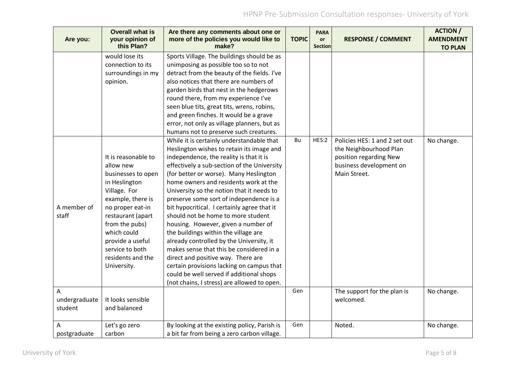| Are you:                      | <b>Overall what is</b><br>your opinion of<br>this Plan?                                                                                                                                                                                                           | Are there any comments about one or<br>more of the policies you would like to<br>make?                                                                                                                                                                                                                                                                                                                                                                                                                                                                                                                                                                                                                                                                                                                                                          | <b>TOPIC</b> | <b>PARA</b><br><b>or</b><br><b>Section</b> | <b>RESPONSE / COMMENT</b>                                                                                                    | <b>ACTION /</b><br><b>AMENDMENT</b><br><b>TO PLAN</b> |
|-------------------------------|-------------------------------------------------------------------------------------------------------------------------------------------------------------------------------------------------------------------------------------------------------------------|-------------------------------------------------------------------------------------------------------------------------------------------------------------------------------------------------------------------------------------------------------------------------------------------------------------------------------------------------------------------------------------------------------------------------------------------------------------------------------------------------------------------------------------------------------------------------------------------------------------------------------------------------------------------------------------------------------------------------------------------------------------------------------------------------------------------------------------------------|--------------|--------------------------------------------|------------------------------------------------------------------------------------------------------------------------------|-------------------------------------------------------|
|                               | would lose its<br>connection to its<br>surroundings in my<br>opinion.                                                                                                                                                                                             | Sports Village. The buildings should be as<br>unimposing as possible too so to not<br>detract from the beauty of the fields. I've<br>also notices that there are numbers of<br>garden birds that nest in the hedgerows<br>round there, from my experience I've<br>seen blue tits, great tits, wrens, robins,<br>and green finches. It would be a grave<br>error, not only as village planners, but as                                                                                                                                                                                                                                                                                                                                                                                                                                           |              |                                            |                                                                                                                              |                                                       |
| A member of<br>staff          | It is reasonable to<br>allow new<br>businesses to open<br>in Heslington<br>Village. For<br>example, there is<br>no proper eat-in<br>restaurant (apart<br>from the pubs)<br>which could<br>provide a useful<br>service to both<br>residents and the<br>University. | humans not to preserve such creatures.<br>While it is certainly understandable that<br>Heslington wishes to retain its image and<br>independence, the reality is that it is<br>effectively a sub-section of the University<br>(for better or worse). Many Heslington<br>home owners and residents work at the<br>University so the notion that it needs to<br>preserve some sort of independence is a<br>bit hypocritical. I certainly agree that it<br>should not be home to more student<br>housing. However, given a number of<br>the buildings within the village are<br>already controlled by the University, it<br>makes sense that this be considered in a<br>direct and positive way. There are<br>certain provisions lacking on campus that<br>could be well served if additional shops<br>(not chains, I stress) are allowed to open. | Bu           | HES:2                                      | Policies HES: 1 and 2 set out<br>the Neighbourhood Plan<br>position regarding New<br>business development on<br>Main Street. | No change.                                            |
| A<br>undergraduate<br>student | It looks sensible<br>and balanced                                                                                                                                                                                                                                 |                                                                                                                                                                                                                                                                                                                                                                                                                                                                                                                                                                                                                                                                                                                                                                                                                                                 | Gen          |                                            | The support for the plan is<br>welcomed.                                                                                     | No change.                                            |
| Α<br>postgraduate             | Let's go zero<br>carbon                                                                                                                                                                                                                                           | By looking at the existing policy, Parish is<br>a bit far from being a zero carbon village.                                                                                                                                                                                                                                                                                                                                                                                                                                                                                                                                                                                                                                                                                                                                                     | Gen          |                                            | Noted.                                                                                                                       | No change.                                            |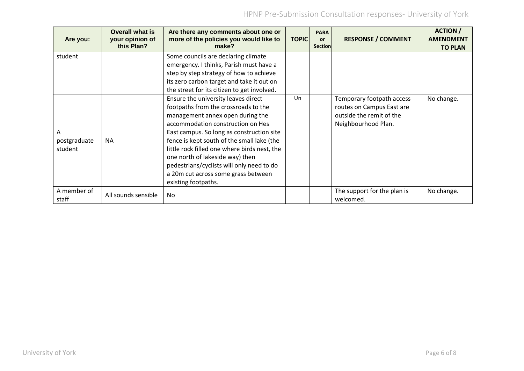| Are you:                     | <b>Overall what is</b><br>your opinion of<br>this Plan? | Are there any comments about one or<br>more of the policies you would like to<br>make?                                                                                                                                                                                                                                                                                                                                                        | <b>TOPIC</b> | <b>PARA</b><br><b>or</b><br>Section | <b>RESPONSE / COMMENT</b>                                                                                 | <b>ACTION</b> /<br><b>AMENDMENT</b><br><b>TO PLAN</b> |
|------------------------------|---------------------------------------------------------|-----------------------------------------------------------------------------------------------------------------------------------------------------------------------------------------------------------------------------------------------------------------------------------------------------------------------------------------------------------------------------------------------------------------------------------------------|--------------|-------------------------------------|-----------------------------------------------------------------------------------------------------------|-------------------------------------------------------|
| student                      |                                                         | Some councils are declaring climate<br>emergency. I thinks, Parish must have a<br>step by step strategy of how to achieve                                                                                                                                                                                                                                                                                                                     |              |                                     |                                                                                                           |                                                       |
|                              |                                                         | its zero carbon target and take it out on<br>the street for its citizen to get involved.                                                                                                                                                                                                                                                                                                                                                      |              |                                     |                                                                                                           |                                                       |
| A<br>postgraduate<br>student | <b>NA</b>                                               | Ensure the university leaves direct<br>footpaths from the crossroads to the<br>management annex open during the<br>accommodation construction on Hes<br>East campus. So long as construction site<br>fence is kept south of the small lake (the<br>little rock filled one where birds nest, the<br>one north of lakeside way) then<br>pedestrians/cyclists will only need to do<br>a 20m cut across some grass between<br>existing footpaths. | Un           |                                     | Temporary footpath access<br>routes on Campus East are<br>outside the remit of the<br>Neighbourhood Plan. | No change.                                            |
| A member of<br>staff         | All sounds sensible                                     | <b>No</b>                                                                                                                                                                                                                                                                                                                                                                                                                                     |              |                                     | The support for the plan is<br>welcomed.                                                                  | No change.                                            |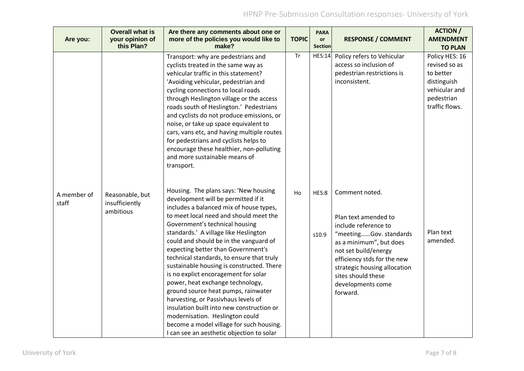| Are you:             | <b>Overall what is</b><br>your opinion of<br>this Plan? | Are there any comments about one or<br>more of the policies you would like to<br>make?                                                                                                                                                                                                                                                                                                                                                                                                                                                                                                                                                                                                                                                                    | <b>TOPIC</b> | <b>PARA</b><br>or<br><b>Section</b> | <b>RESPONSE / COMMENT</b>                                                                                                                                                                                                                                         | <b>ACTION /</b><br><b>AMENDMENT</b><br><b>TO PLAN</b>                                                        |
|----------------------|---------------------------------------------------------|-----------------------------------------------------------------------------------------------------------------------------------------------------------------------------------------------------------------------------------------------------------------------------------------------------------------------------------------------------------------------------------------------------------------------------------------------------------------------------------------------------------------------------------------------------------------------------------------------------------------------------------------------------------------------------------------------------------------------------------------------------------|--------------|-------------------------------------|-------------------------------------------------------------------------------------------------------------------------------------------------------------------------------------------------------------------------------------------------------------------|--------------------------------------------------------------------------------------------------------------|
|                      |                                                         | Transport: why are pedestrians and<br>cyclists treated in the same way as<br>vehicular traffic in this statement?<br>'Avoiding vehicular, pedestrian and<br>cycling connections to local roads<br>through Heslington village or the access<br>roads south of Heslington.' Pedestrians<br>and cyclists do not produce emissions, or<br>noise, or take up space equivalent to<br>cars, vans etc, and having multiple routes<br>for pedestrians and cyclists helps to<br>encourage these healthier, non-polluting<br>and more sustainable means of<br>transport.                                                                                                                                                                                             | <b>Tr</b>    | <b>HES:14</b>                       | Policy refers to Vehicular<br>access so inclusion of<br>pedestrian restrictions is<br>inconsistent.                                                                                                                                                               | Policy HES: 16<br>revised so as<br>to better<br>distinguish<br>vehicular and<br>pedestrian<br>traffic flows. |
| A member of<br>staff | Reasonable, but<br>insufficiently<br>ambitious          | Housing. The plans says: 'New housing<br>development will be permitted if it<br>includes a balanced mix of house types,<br>to meet local need and should meet the<br>Government's technical housing<br>standards.' A village like Heslington<br>could and should be in the vanguard of<br>expecting better than Government's<br>technical standards, to ensure that truly<br>sustainable housing is constructed. There<br>is no explict encoragement for solar<br>power, heat exchange technology,<br>ground source heat pumps, rainwater<br>harvesting, or Passivhaus levels of<br>insulation built into new construction or<br>modernisation. Heslington could<br>become a model village for such housing.<br>I can see an aesthetic objection to solar | Ho           | HES:8<br>s10.9                      | Comment noted.<br>Plan text amended to<br>include reference to<br>"meetingGov. standards<br>as a minimum", but does<br>not set build/energy<br>efficiency stds for the new<br>strategic housing allocation<br>sites should these<br>developments come<br>forward. | Plan text<br>amended.                                                                                        |